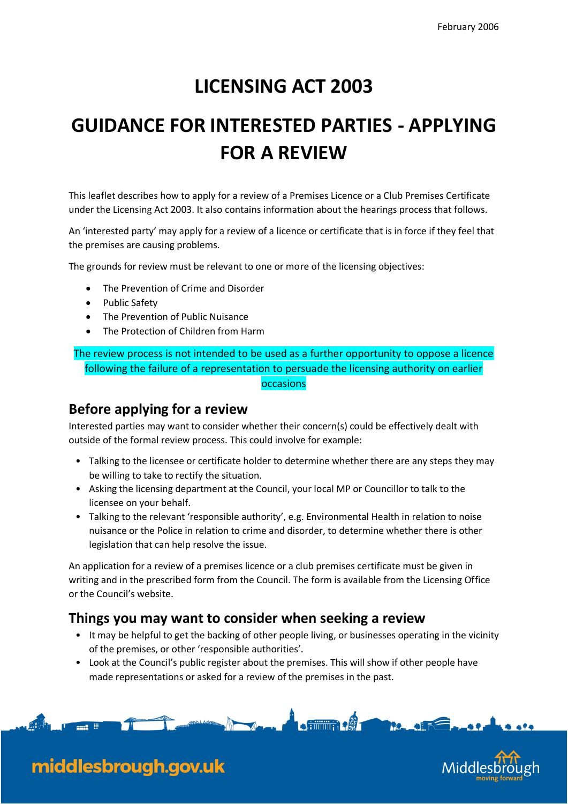### **LICENSING ACT 2003**

# **GUIDANCE FOR INTERESTED PARTIES - APPLYING FOR A REVIEW**

This leaflet describes how to apply for a review of a Premises Licence or a Club Premises Certificate under the Licensing Act 2003. It also contains information about the hearings process that follows.

An 'interested party' may apply for a review of a licence or certificate that is in force if they feel that the premises are causing problems.

The grounds for review must be relevant to one or more of the licensing objectives:

- The Prevention of Crime and Disorder
- Public Safety

middlesbrough.gov.uk

- The Prevention of Public Nuisance
- The Protection of Children from Harm

The review process is not intended to be used as a further opportunity to oppose a licence following the failure of a representation to persuade the licensing authority on earlier occasions

#### **Before applying for a review**

Interested parties may want to consider whether their concern(s) could be effectively dealt with outside of the formal review process. This could involve for example:

- Talking to the licensee or certificate holder to determine whether there are any steps they may be willing to take to rectify the situation.
- Asking the licensing department at the Council, your local MP or Councillor to talk to the licensee on your behalf.
- Talking to the relevant 'responsible authority', e.g. Environmental Health in relation to noise nuisance or the Police in relation to crime and disorder, to determine whether there is other legislation that can help resolve the issue.

An application for a review of a premises licence or a club premises certificate must be given in writing and in the prescribed form from the Council. The form is available from the Licensing Office or the Council's website.

#### **Things you may want to consider when seeking a review**

- It may be helpful to get the backing of other people living, or businesses operating in the vicinity of the premises, or other 'responsible authorities'.
- Look at the Council's public register about the premises. This will show if other people have made representations or asked for a review of the premises in the past.



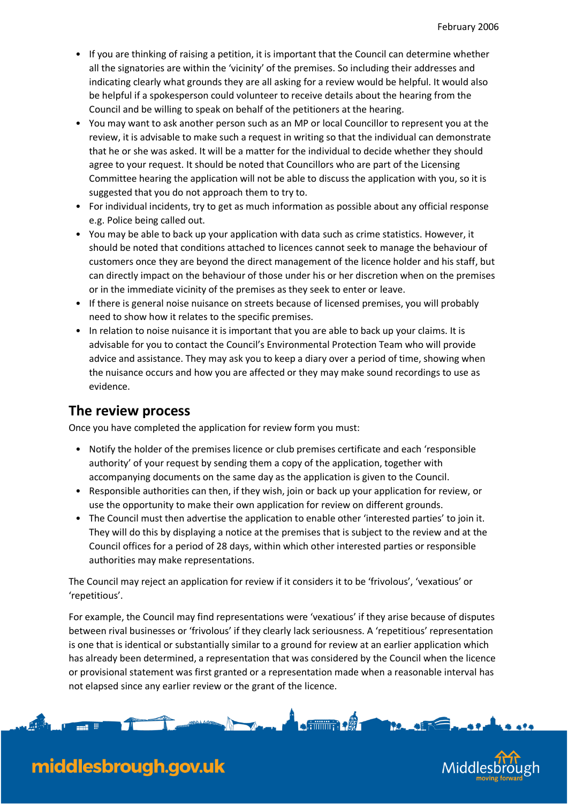- If you are thinking of raising a petition, it is important that the Council can determine whether all the signatories are within the 'vicinity' of the premises. So including their addresses and indicating clearly what grounds they are all asking for a review would be helpful. It would also be helpful if a spokesperson could volunteer to receive details about the hearing from the Council and be willing to speak on behalf of the petitioners at the hearing.
- You may want to ask another person such as an MP or local Councillor to represent you at the review, it is advisable to make such a request in writing so that the individual can demonstrate that he or she was asked. It will be a matter for the individual to decide whether they should agree to your request. It should be noted that Councillors who are part of the Licensing Committee hearing the application will not be able to discuss the application with you, so it is suggested that you do not approach them to try to.
- For individual incidents, try to get as much information as possible about any official response e.g. Police being called out.
- You may be able to back up your application with data such as crime statistics. However, it should be noted that conditions attached to licences cannot seek to manage the behaviour of customers once they are beyond the direct management of the licence holder and his staff, but can directly impact on the behaviour of those under his or her discretion when on the premises or in the immediate vicinity of the premises as they seek to enter or leave.
- If there is general noise nuisance on streets because of licensed premises, you will probably need to show how it relates to the specific premises.
- In relation to noise nuisance it is important that you are able to back up your claims. It is advisable for you to contact the Council's Environmental Protection Team who will provide advice and assistance. They may ask you to keep a diary over a period of time, showing when the nuisance occurs and how you are affected or they may make sound recordings to use as evidence.

#### **The review process**

Once you have completed the application for review form you must:

- Notify the holder of the premises licence or club premises certificate and each 'responsible authority' of your request by sending them a copy of the application, together with accompanying documents on the same day as the application is given to the Council.
- Responsible authorities can then, if they wish, join or back up your application for review, or use the opportunity to make their own application for review on different grounds.
- The Council must then advertise the application to enable other 'interested parties' to join it. They will do this by displaying a notice at the premises that is subject to the review and at the Council offices for a period of 28 days, within which other interested parties or responsible authorities may make representations.

The Council may reject an application for review if it considers it to be 'frivolous', 'vexatious' or 'repetitious'.

For example, the Council may find representations were 'vexatious' if they arise because of disputes between rival businesses or 'frivolous' if they clearly lack seriousness. A 'repetitious' representation is one that is identical or substantially similar to a ground for review at an earlier application which has already been determined, a representation that was considered by the Council when the licence or provisional statement was first granted or a representation made when a reasonable interval has not elapsed since any earlier review or the grant of the licence.

No. A. Delivery

**A** 



## middlesbrough.gov.uk